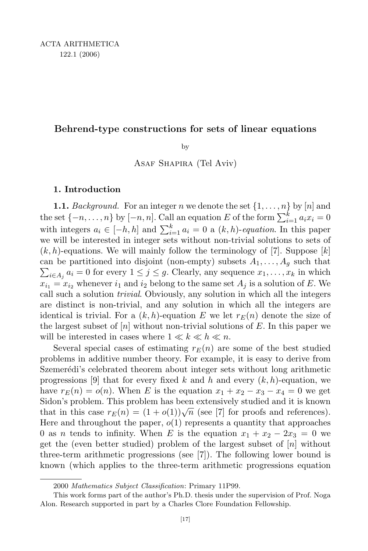# Behrend-type constructions for sets of linear equations

by

Asaf Shapira (Tel Aviv)

# 1. Introduction

**1.1.** Background. For an integer n we denote the set  $\{1, \ldots, n\}$  by  $[n]$  and the set  $\{-n, \ldots, n\}$  by  $[-n, n]$ . Call an equation E of the form  $\sum_{i=1}^{k} a_i x_i = 0$ with integers  $a_i \in [-h, h]$  and  $\sum_{i=1}^k a_i = 0$  a  $(k, h)$ -equation. In this paper we will be interested in integer sets without non-trivial solutions to sets of  $(k, h)$ -equations. We will mainly follow the terminology of [7]. Suppose [k] can be partitioned into disjoint (non-empty) subsets  $A_1, \ldots, A_g$  such that  $\sum_{i \in A_j} a_i = 0$  for every  $1 \leq j \leq g$ . Clearly, any sequence  $x_1, \ldots, x_k$  in which  $x_{i_1} = x_{i_2}$  whenever  $i_1$  and  $i_2$  belong to the same set  $A_i$  is a solution of E. We call such a solution trivial. Obviously, any solution in which all the integers are distinct is non-trivial, and any solution in which all the integers are identical is trivial. For a  $(k, h)$ -equation E we let  $r_E(n)$  denote the size of the largest subset of  $[n]$  without non-trivial solutions of  $E$ . In this paper we will be interested in cases where  $1 \ll k \ll h \ll n$ .

Several special cases of estimating  $r_E(n)$  are some of the best studied problems in additive number theory. For example, it is easy to derive from Szemerédi's celebrated theorem about integer sets without long arithmetic progressions [9] that for every fixed k and h and every  $(k, h)$ -equation, we have  $r_E(n) = o(n)$ . When E is the equation  $x_1 + x_2 - x_3 - x_4 = 0$  we get Sidon's problem. This problem has been extensively studied and it is known that in this case  $r_E(n) = (1 + o(1))\sqrt{n}$  (see [7] for proofs and references). Here and throughout the paper,  $o(1)$  represents a quantity that approaches 0 as n tends to infinity. When E is the equation  $x_1 + x_2 - 2x_3 = 0$  we get the (even better studied) problem of the largest subset of  $[n]$  without three-term arithmetic progressions (see [7]). The following lower bound is known (which applies to the three-term arithmetic progressions equation

<sup>2000</sup> Mathematics Subject Classification: Primary 11P99.

This work forms part of the author's Ph.D. thesis under the supervision of Prof. Noga Alon. Research supported in part by a Charles Clore Foundation Fellowship.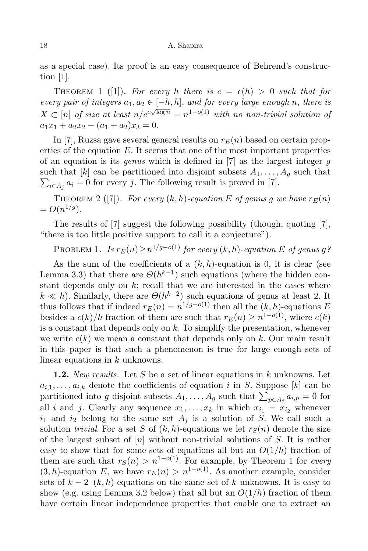as a special case). Its proof is an easy consequence of Behrend's construction [1].

THEOREM 1 ([1]). For every h there is  $c = c(h) > 0$  such that for every pair of integers  $a_1, a_2 \in [-h, h]$ , and for every large enough n, there is  $X \subset [n]$  of size at least  $n/e^{c\sqrt{\log n}} = n^{1-o(1)}$  with no non-trivial solution of  $a_1x_1 + a_2x_2 - (a_1 + a_2)x_3 = 0.$ 

In [7], Ruzsa gave several general results on  $r_E(n)$  based on certain properties of the equation E. It seems that one of the most important properties of an equation is its *genus* which is defined in  $[7]$  as the largest integer g such that  $[k]$  can be partitioned into disjoint subsets  $A_1, \ldots, A_g$  such that  $\sum_{i\in A_j} a_i = 0$  for every j. The following result is proved in [7].

THEOREM 2 ([7]). For every  $(k, h)$ -equation E of genus g we have  $r_E(n)$  $= O(n^{1/g}).$ 

The results of [7] suggest the following possibility (though, quoting [7], "there is too little positive support to call it a conjecture").

PROBLEM 1. Is  $r_E(n) \ge n^{1/g-o(1)}$  for every  $(k, h)$ -equation E of genus g?

As the sum of the coefficients of a  $(k, h)$ -equation is 0, it is clear (see Lemma 3.3) that there are  $\Theta(h^{k-1})$  such equations (where the hidden constant depends only on  $k$ ; recall that we are interested in the cases where  $k \ll h$ ). Similarly, there are  $\Theta(h^{k-2})$  such equations of genus at least 2. It thus follows that if indeed  $r_E(n) = n^{1/g-o(1)}$  then all the  $(k, h)$ -equations E besides a  $c(k)/h$  fraction of them are such that  $r_E(n) \geq n^{1-o(1)}$ , where  $c(k)$ is a constant that depends only on  $k$ . To simplify the presentation, whenever we write  $c(k)$  we mean a constant that depends only on k. Our main result in this paper is that such a phenomenon is true for large enough sets of linear equations in k unknowns.

**1.2.** New results. Let S be a set of linear equations in  $k$  unknowns. Let  $a_{i,1}, \ldots, a_{i,k}$  denote the coefficients of equation i in S. Suppose [k] can be partitioned into g disjoint subsets  $A_1, \ldots, A_g$  such that  $\sum_{p \in A_j} a_{i,p} = 0$  for all i and j. Clearly any sequence  $x_1, \ldots, x_k$  in which  $x_{i_1} = x_{i_2}$  whenever  $i_1$  and  $i_2$  belong to the same set  $A_i$  is a solution of S. We call such a solution trivial. For a set S of  $(k, h)$ -equations we let  $r<sub>S</sub>(n)$  denote the size of the largest subset of  $[n]$  without non-trivial solutions of S. It is rather easy to show that for some sets of equations all but an  $O(1/h)$  fraction of them are such that  $r_S(n) > n^{1-o(1)}$ . For example, by Theorem 1 for every  $(3, h)$ -equation E, we have  $r_E(n) > n^{1-o(1)}$ . As another example, consider sets of  $k-2$   $(k, h)$ -equations on the same set of k unknowns. It is easy to show (e.g. using Lemma 3.2 below) that all but an  $O(1/h)$  fraction of them have certain linear independence properties that enable one to extract an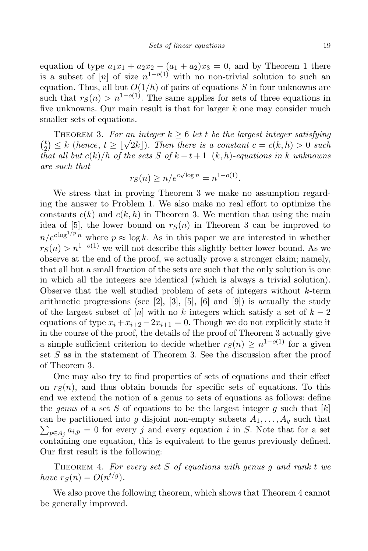equation of type  $a_1x_1 + a_2x_2 - (a_1 + a_2)x_3 = 0$ , and by Theorem 1 there is a subset of  $[n]$  of size  $n^{1-o(1)}$  with no non-trivial solution to such an equation. Thus, all but  $O(1/h)$  of pairs of equations S in four unknowns are such that  $r_S(n) > n^{1-o(1)}$ . The same applies for sets of three equations in five unknowns. Our main result is that for larger  $k$  one may consider much smaller sets of equations.

THEOREM 3. For an integer  $k \geq 6$  let t be the largest integer satisfying  $\binom{t}{2}$  $\binom{t}{2} \leq k$  (hence,  $t \geq \lfloor \sqrt{2k} \rfloor$ ). Then there is a constant  $c = c(k, h) > 0$  such that all but  $c(k)/h$  of the sets S of  $k-t+1$   $(k, h)$ -equations in k unknowns are such that

$$
r_S(n) \ge n/e^{c\sqrt{\log n}} = n^{1-o(1)}.
$$

We stress that in proving Theorem 3 we make no assumption regarding the answer to Problem 1. We also make no real effort to optimize the constants  $c(k)$  and  $c(k, h)$  in Theorem 3. We mention that using the main idea of [5], the lower bound on  $r<sub>S</sub>(n)$  in Theorem 3 can be improved to  $n/e^{c \log^{1/p} n}$  where  $p \approx \log k$ . As in this paper we are interested in whether  $r_S(n) > n^{1-o(1)}$  we will not describe this slightly better lower bound. As we observe at the end of the proof, we actually prove a stronger claim; namely, that all but a small fraction of the sets are such that the only solution is one in which all the integers are identical (which is always a trivial solution). Observe that the well studied problem of sets of integers without  $k$ -term arithmetic progressions (see  $[2]$ ,  $[3]$ ,  $[5]$ ,  $[6]$  and  $[9]$ ) is actually the study of the largest subset of  $[n]$  with no k integers which satisfy a set of  $k-2$ equations of type  $x_i + x_{i+2} - 2x_{i+1} = 0$ . Though we do not explicitly state it in the course of the proof, the details of the proof of Theorem 3 actually give a simple sufficient criterion to decide whether  $r_S(n) \geq n^{1-o(1)}$  for a given set  $S$  as in the statement of Theorem 3. See the discussion after the proof of Theorem 3.

One may also try to find properties of sets of equations and their effect on  $r<sub>S</sub>(n)$ , and thus obtain bounds for specific sets of equations. To this end we extend the notion of a genus to sets of equations as follows: define the genus of a set S of equations to be the largest integer g such that  $[k]$ can be partitioned into g disjoint non-empty subsets  $A_1, \ldots, A_g$  such that  $\sum_{p \in A_j} a_{i,p} = 0$  for every j and every equation i in S. Note that for a set containing one equation, this is equivalent to the genus previously defined. Our first result is the following:

THEOREM 4. For every set  $S$  of equations with genus  $g$  and rank  $t$  we have  $r_S(n) = O(n^{t/g})$ .

We also prove the following theorem, which shows that Theorem 4 cannot be generally improved.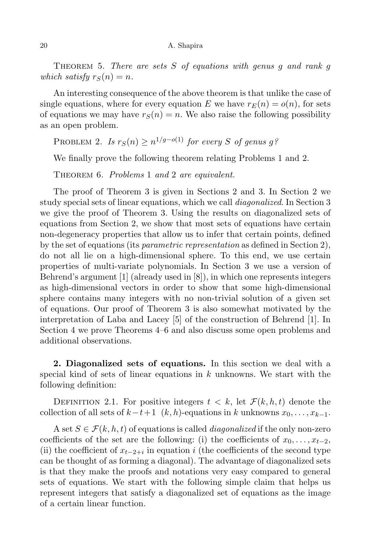THEOREM 5. There are sets  $S$  of equations with genus q and rank q which satisfy  $r_S(n) = n$ .

An interesting consequence of the above theorem is that unlike the case of single equations, where for every equation E we have  $r_E(n) = o(n)$ , for sets of equations we may have  $r_S(n) = n$ . We also raise the following possibility as an open problem.

PROBLEM 2. Is  $r_S(n) \ge n^{1/g-o(1)}$  for every S of genus g?

We finally prove the following theorem relating Problems 1 and 2.

THEOREM 6. Problems 1 and 2 are equivalent.

The proof of Theorem 3 is given in Sections 2 and 3. In Section 2 we study special sets of linear equations, which we call diagonalized. In Section 3 we give the proof of Theorem 3. Using the results on diagonalized sets of equations from Section 2, we show that most sets of equations have certain non-degeneracy properties that allow us to infer that certain points, defined by the set of equations (its *parametric representation* as defined in Section 2), do not all lie on a high-dimensional sphere. To this end, we use certain properties of multi-variate polynomials. In Section 3 we use a version of Behrend's argument [1] (already used in [8]), in which one represents integers as high-dimensional vectors in order to show that some high-dimensional sphere contains many integers with no non-trivial solution of a given set of equations. Our proof of Theorem 3 is also somewhat motivated by the interpretation of Laba and Lacey [5] of the construction of Behrend [1]. In Section 4 we prove Theorems 4–6 and also discuss some open problems and additional observations.

2. Diagonalized sets of equations. In this section we deal with a special kind of sets of linear equations in  $k$  unknowns. We start with the following definition:

DEFINITION 2.1. For positive integers  $t < k$ , let  $\mathcal{F}(k, h, t)$  denote the collection of all sets of  $k-t+1$   $(k, h)$ -equations in k unknowns  $x_0, \ldots, x_{k-1}$ .

A set  $S \in \mathcal{F}(k, h, t)$  of equations is called *diagonalized* if the only non-zero coefficients of the set are the following: (i) the coefficients of  $x_0, \ldots, x_{t-2}$ , (ii) the coefficient of  $x_{t-2+i}$  in equation i (the coefficients of the second type can be thought of as forming a diagonal). The advantage of diagonalized sets is that they make the proofs and notations very easy compared to general sets of equations. We start with the following simple claim that helps us represent integers that satisfy a diagonalized set of equations as the image of a certain linear function.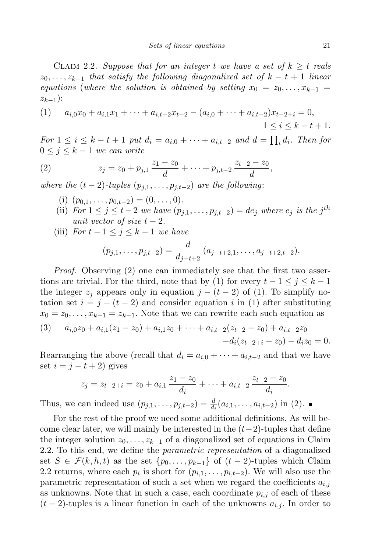CLAIM 2.2. Suppose that for an integer t we have a set of  $k > t$  reals  $z_0, \ldots, z_{k-1}$  that satisfy the following diagonalized set of  $k - t + 1$  linear equations (where the solution is obtained by setting  $x_0 = z_0, \ldots, x_{k-1}$  $z_{k-1}$ ):

(1) 
$$
a_{i,0}x_0 + a_{i,1}x_1 + \dots + a_{i,t-2}x_{t-2} - (a_{i,0} + \dots + a_{i,t-2})x_{t-2+i} = 0,
$$
  

$$
1 \le i \le k - t + 1.
$$

For  $1 \leq i \leq k-t+1$  put  $d_i = a_{i,0} + \cdots + a_{i,t-2}$  and  $d = \prod_i d_i$ . Then for  $0 \leq j \leq k-1$  we can write

(2) 
$$
z_j = z_0 + p_{j,1} \frac{z_1 - z_0}{d} + \dots + p_{j,t-2} \frac{z_{t-2} - z_0}{d},
$$

where the  $(t-2)$ -tuples  $(p_{j,1}, \ldots, p_{j,t-2})$  are the following:

- (i)  $(p_{0,1}, \ldots, p_{0,t-2}) = (0, \ldots, 0).$
- (ii) For  $1 \leq j \leq t-2$  we have  $(p_{j,1}, \ldots, p_{j,t-2}) = de_j$  where  $e_j$  is the j<sup>th</sup> unit vector of size  $t-2$ .
- (iii) For  $t 1 \leq j \leq k 1$  we have

$$
(p_{j,1},\ldots,p_{j,t-2})=\frac{d}{d_{j-t+2}}(a_{j-t+2,1},\ldots,a_{j-t+2,t-2}).
$$

Proof. Observing (2) one can immediately see that the first two assertions are trivial. For the third, note that by (1) for every  $t-1 \leq j \leq k-1$ the integer  $z_j$  appears only in equation  $j - (t - 2)$  of (1). To simplify notation set  $i = j - (t - 2)$  and consider equation i in (1) after substituting  $x_0 = z_0, \ldots, x_{k-1} = z_{k-1}$ . Note that we can rewrite each such equation as

(3) 
$$
a_{i,0}z_0 + a_{i,1}(z_1 - z_0) + a_{i,1}z_0 + \cdots + a_{i,t-2}(z_{t-2} - z_0) + a_{i,t-2}z_0 -d_i(z_{t-2+i} - z_0) - d_i z_0 = 0.
$$

Rearranging the above (recall that  $d_i = a_{i,0} + \cdots + a_{i,t-2}$  and that we have set  $i = j - t + 2$ ) gives

$$
z_j = z_{t-2+i} = z_0 + a_{i,1} \frac{z_1 - z_0}{d_i} + \cdots + a_{i,t-2} \frac{z_{t-2} - z_0}{d_i}.
$$

Thus, we can indeed use  $(p_{j,1},..., p_{j,t-2}) = \frac{d}{d_i}(a_{i,1},..., a_{i,t-2})$  in (2).

For the rest of the proof we need some additional definitions. As will become clear later, we will mainly be interested in the  $(t-2)$ -tuples that define the integer solution  $z_0, \ldots, z_{k-1}$  of a diagonalized set of equations in Claim 2.2. To this end, we define the *parametric representation* of a diagonalized set  $S \in \mathcal{F}(k, h, t)$  as the set  $\{p_0, \ldots, p_{k-1}\}\$  of  $(t-2)$ -tuples which Claim 2.2 returns, where each  $p_i$  is short for  $(p_{i,1}, \ldots, p_{i,t-2})$ . We will also use the parametric representation of such a set when we regard the coefficients  $a_{i,j}$ as unknowns. Note that in such a case, each coordinate  $p_{i,j}$  of each of these  $(t-2)$ -tuples is a linear function in each of the unknowns  $a_{i,j}$ . In order to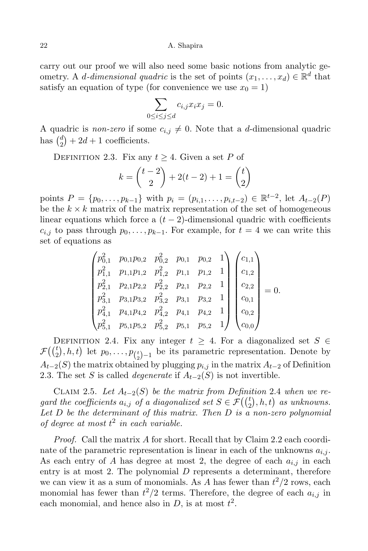carry out our proof we will also need some basic notions from analytic geometry. A *d*-dimensional quadric is the set of points  $(x_1, \ldots, x_d) \in \mathbb{R}^d$  that satisfy an equation of type (for convenience we use  $x_0 = 1$ )

$$
\sum_{0 \le i \le j \le d} c_{i,j} x_i x_j = 0.
$$

A quadric is *non-zero* if some  $c_{i,j} \neq 0$ . Note that a d-dimensional quadric has  $\binom{d}{2}$  $a_2^a$  + 2d + 1 coefficients.

DEFINITION 2.3. Fix any  $t \geq 4$ . Given a set P of

$$
k = \binom{t-2}{2} + 2(t-2) + 1 = \binom{t}{2}
$$

points  $P = \{p_0, \ldots, p_{k-1}\}\$  with  $p_i = (p_{i,1}, \ldots, p_{i,t-2}) \in \mathbb{R}^{t-2}$ , let  $A_{t-2}(P)$ be the  $k \times k$  matrix of the matrix representation of the set of homogeneous linear equations which force a  $(t-2)$ -dimensional quadric with coefficients  $c_{i,j}$  to pass through  $p_0, \ldots, p_{k-1}$ . For example, for  $t = 4$  we can write this set of equations as

$$
\begin{pmatrix} p_{0,1}^2 & p_{0,1}p_{0,2} & p_{0,2}^2 & p_{0,1} & p_{0,2} & 1 \ p_{1,1}^2 & p_{1,1}p_{1,2} & p_{1,2}^2 & p_{1,1} & p_{1,2} & 1 \ p_{2,1}^2 & p_{2,1}p_{2,2} & p_{2,2}^2 & p_{2,1} & p_{2,2} & 1 \ p_{3,1}^2 & p_{3,1}p_{3,2} & p_{3,2}^2 & p_{3,1} & p_{3,2} & 1 \ p_{4,1}^2 & p_{4,1}p_{4,2} & p_{4,2}^2 & p_{4,1} & p_{4,2} & 1 \ p_{5,1}^2 & p_{5,1}p_{5,2} & p_{5,2}^2 & p_{5,1} & p_{5,2} & 1 \end{pmatrix} \begin{pmatrix} c_{1,1} \\ c_{1,2} \\ c_{2,2} \\ c_{0,1} \\ c_{0,2} \\ c_{0,2} \\ c_{0,0} \end{pmatrix} = 0.
$$

DEFINITION 2.4. Fix any integer  $t \geq 4$ . For a diagonalized set  $S \in$  $\mathcal{F}(\binom{t}{2}, h, t)$  let  $p_0, \ldots, p_{\binom{t}{2}-1}$  be its parametric representation. Denote by  $A_{t-2}(S)$  the matrix obtained by plugging  $p_{i,j}$  in the matrix  $A_{t-2}$  of Definition 2.3. The set S is called *degenerate* if  $A_{t-2}(S)$  is not invertible.

CLAIM 2.5. Let  $A_{t-2}(S)$  be the matrix from Definition 2.4 when we regard the coefficients  $a_{i,j}$  of a diagonalized set  $S \in \mathcal{F}(\binom{t}{2},h,t)$  as unknowns. Let  $D$  be the determinant of this matrix. Then  $D$  is a non-zero polynomial of degree at most  $t^2$  in each variable.

Proof. Call the matrix A for short. Recall that by Claim 2.2 each coordinate of the parametric representation is linear in each of the unknowns  $a_{i,j}$ . As each entry of A has degree at most 2, the degree of each  $a_{i,j}$  in each entry is at most 2. The polynomial  $D$  represents a determinant, therefore we can view it as a sum of monomials. As A has fewer than  $t^2/2$  rows, each monomial has fewer than  $t^2/2$  terms. Therefore, the degree of each  $a_{i,j}$  in each monomial, and hence also in  $D$ , is at most  $t^2$ .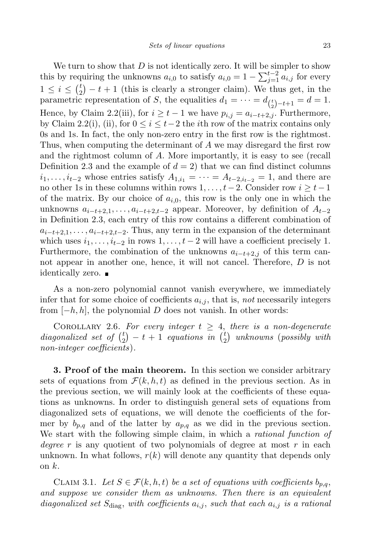We turn to show that  $D$  is not identically zero. It will be simpler to show this by requiring the unknowns  $a_{i,0}$  to satisfy  $a_{i,0} = 1 - \sum_{j=1}^{t-2} a_{i,j}$  for every  $1 \leq i \leq {t \choose 2}$  $\binom{t}{2} - t + 1$  (this is clearly a stronger claim). We thus get, in the parametric representation of S, the equalities  $d_1 = \cdots = d_{\binom{t}{2}-t+1} = d = 1$ . Hence, by Claim 2.2(iii), for  $i \geq t-1$  we have  $p_{i,j} = a_{i-t+2,j}$ . Furthermore, by Claim 2.2(i), (ii), for  $0 \leq i \leq t-2$  the *i*th row of the matrix contains only 0s and 1s. In fact, the only non-zero entry in the first row is the rightmost. Thus, when computing the determinant of A we may disregard the first row and the rightmost column of A. More importantly, it is easy to see (recall Definition 2.3 and the example of  $d = 2$ ) that we can find distinct columns  $i_1, \ldots, i_{t-2}$  whose entries satisfy  $A_{1,i_1} = \cdots = A_{t-2,i_{t-2}} = 1$ , and there are no other 1s in these columns within rows  $1, \ldots, t-2$ . Consider row  $i \geq t-1$ of the matrix. By our choice of  $a_{i,0}$ , this row is the only one in which the unknowns  $a_{i-t+2,1}, \ldots, a_{i-t+2,t-2}$  appear. Moreover, by definition of  $A_{t-2}$ in Definition 2.3, each entry of this row contains a different combination of  $a_{i-t+2,1}, \ldots, a_{i-t+2,t-2}$ . Thus, any term in the expansion of the determinant which uses  $i_1, \ldots, i_{t-2}$  in rows  $1, \ldots, t-2$  will have a coefficient precisely 1. Furthermore, the combination of the unknowns  $a_{i-t+2,j}$  of this term cannot appear in another one, hence, it will not cancel. Therefore, D is not identically zero.

As a non-zero polynomial cannot vanish everywhere, we immediately infer that for some choice of coefficients  $a_{i,j}$ , that is, not necessarily integers from  $[-h, h]$ , the polynomial D does not vanish. In other words:

COROLLARY 2.6. For every integer  $t \geq 4$ , there is a non-degenerate diagonalized set of  $\binom{t}{2}$  $\binom{t}{2}$  – t + 1 equations in  $\binom{t}{2}$  $\binom{t}{2}$  unknowns (possibly with non-integer coefficients).

3. Proof of the main theorem. In this section we consider arbitrary sets of equations from  $\mathcal{F}(k, h, t)$  as defined in the previous section. As in the previous section, we will mainly look at the coefficients of these equations as unknowns. In order to distinguish general sets of equations from diagonalized sets of equations, we will denote the coefficients of the former by  $b_{p,q}$  and of the latter by  $a_{p,q}$  as we did in the previous section. We start with the following simple claim, in which a *rational function of* degree r is any quotient of two polynomials of degree at most r in each unknown. In what follows,  $r(k)$  will denote any quantity that depends only on  $k$ .

CLAIM 3.1. Let  $S \in \mathcal{F}(k, h, t)$  be a set of equations with coefficients  $b_{p,q}$ , and suppose we consider them as unknowns. Then there is an equivalent diagonalized set  $S_{\text{diag}}$ , with coefficients  $a_{i,j}$ , such that each  $a_{i,j}$  is a rational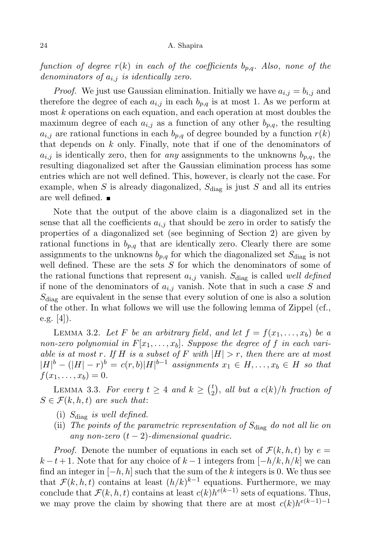function of degree  $r(k)$  in each of the coefficients  $b_{p,q}$ . Also, none of the denominators of  $a_{i,j}$  is identically zero.

*Proof.* We just use Gaussian elimination. Initially we have  $a_{i,j} = b_{i,j}$  and therefore the degree of each  $a_{i,j}$  in each  $b_{p,q}$  is at most 1. As we perform at most k operations on each equation, and each operation at most doubles the maximum degree of each  $a_{i,j}$  as a function of any other  $b_{p,q}$ , the resulting  $a_{i,j}$  are rational functions in each  $b_{p,q}$  of degree bounded by a function  $r(k)$ that depends on k only. Finally, note that if one of the denominators of  $a_{i,j}$  is identically zero, then for any assignments to the unknowns  $b_{n,q}$ , the resulting diagonalized set after the Gaussian elimination process has some entries which are not well defined. This, however, is clearly not the case. For example, when  $S$  is already diagonalized,  $S_{\text{diag}}$  is just  $S$  and all its entries are well defined.

Note that the output of the above claim is a diagonalized set in the sense that all the coefficients  $a_{i,j}$  that should be zero in order to satisfy the properties of a diagonalized set (see beginning of Section 2) are given by rational functions in  $b_{p,q}$  that are identically zero. Clearly there are some assignments to the unknowns  $b_{p,q}$  for which the diagonalized set  $S_{\text{diag}}$  is not well defined. These are the sets  $S$  for which the denominators of some of the rational functions that represent  $a_{i,j}$  vanish.  $S_{diag}$  is called well defined if none of the denominators of  $a_{i,j}$  vanish. Note that in such a case S and  $S_{\text{diag}}$  are equivalent in the sense that every solution of one is also a solution of the other. In what follows we will use the following lemma of Zippel (cf., e.g.  $[4]$ ).

LEMMA 3.2. Let F be an arbitrary field, and let  $f = f(x_1, \ldots, x_b)$  be a non-zero polynomial in  $F[x_1, \ldots, x_b]$ . Suppose the degree of f in each variable is at most r. If H is a subset of F with  $|H| > r$ , then there are at most  $|H|^b - (|H|-r)^b = c(r,b)|H|^{b-1}$  assignments  $x_1 \in H, \ldots, x_b \in H$  so that  $f(x_1, \ldots, x_b) = 0.$ 

LEMMA 3.3. For every  $t \geq 4$  and  $k \geq \binom{t}{2}$  $\binom{t}{2}$ , all but a  $c(k)/h$  fraction of  $S \in \mathcal{F}(k, h, t)$  are such that:

- (i)  $S_{\text{diag}}$  is well defined.
- (ii) The points of the parametric representation of  $S_{\text{diag}}$  do not all lie on any non-zero  $(t-2)$ -dimensional quadric.

*Proof.* Denote the number of equations in each set of  $\mathcal{F}(k, h, t)$  by  $e =$  $k - t + 1$ . Note that for any choice of  $k - 1$  integers from  $[-h/k, h/k]$  we can find an integer in  $[-h, h]$  such that the sum of the k integers is 0. We thus see that  $\mathcal{F}(k, h, t)$  contains at least  $(h/k)^{k-1}$  equations. Furthermore, we may conclude that  $\mathcal{F}(k, h, t)$  contains at least  $c(k)h^{e(k-1)}$  sets of equations. Thus, we may prove the claim by showing that there are at most  $c(k)h^{e(k-1)-1}$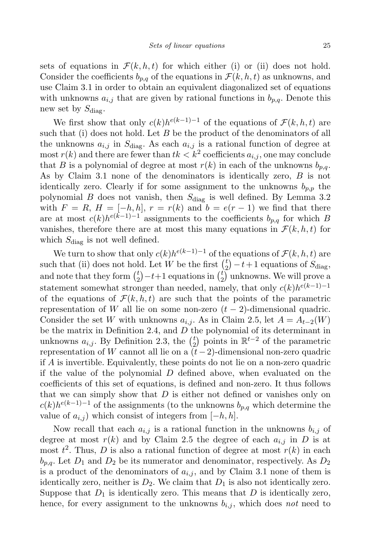sets of equations in  $\mathcal{F}(k, h, t)$  for which either (i) or (ii) does not hold. Consider the coefficients  $b_{n,q}$  of the equations in  $\mathcal{F}(k, h, t)$  as unknowns, and use Claim 3.1 in order to obtain an equivalent diagonalized set of equations with unknowns  $a_{i,j}$  that are given by rational functions in  $b_{p,q}$ . Denote this new set by  $S_{\text{diag}}$ .

We first show that only  $c(k)h^{e(k-1)-1}$  of the equations of  $\mathcal{F}(k, h, t)$  are such that (i) does not hold. Let  $B$  be the product of the denominators of all the unknowns  $a_{i,j}$  in  $S_{\text{diag}}$ . As each  $a_{i,j}$  is a rational function of degree at  $\text{most } r(k)$  and there are fewer than  $tk < k^2$  coefficients  $a_{i,j}$ , one may conclude that B is a polynomial of degree at most  $r(k)$  in each of the unknowns  $b_{n,q}$ . As by Claim 3.1 none of the denominators is identically zero, B is not identically zero. Clearly if for some assignment to the unknowns  $b_{n,n}$  the polynomial B does not vanish, then  $S_{\text{diag}}$  is well defined. By Lemma 3.2 with  $F = R$ ,  $H = [-h, h]$ ,  $r = r(k)$  and  $b = e(r - 1)$  we find that there are at most  $c(k)h^{e(k-1)-1}$  assignments to the coefficients  $b_{p,q}$  for which B vanishes, therefore there are at most this many equations in  $\mathcal{F}(k, h, t)$  for which  $S_{\text{diag}}$  is not well defined.

We turn to show that only  $c(k)h^{e(k-1)-1}$  of the equations of  $\mathcal{F}(k, h, t)$  are such that (ii) does not hold. Let W be the first  $\binom{t}{2}$  $\binom{t}{2} - t + 1$  equations of  $S_{\text{diag}}$ , and note that they form  $\binom{t}{2}$  $t_{2}^{t}$  $-t+1$  equations in  $\binom{t}{2}$  $\binom{t}{2}$  unknowns. We will prove a statement somewhat stronger than needed, namely, that only  $c(k)h^{e(k-1)-1}$ of the equations of  $\mathcal{F}(k, h, t)$  are such that the points of the parametric representation of W all lie on some non-zero  $(t-2)$ -dimensional quadric. Consider the set W with unknowns  $a_{i,j}$ . As in Claim 2.5, let  $A = A_{t-2}(W)$ be the matrix in Definition 2.4, and  $D$  the polynomial of its determinant in unknowns  $a_{i,j}$ . By Definition 2.3, the  $\binom{t}{2}$  $\binom{t}{2}$  points in  $\mathbb{R}^{t-2}$  of the parametric representation of W cannot all lie on a  $(t-2)$ -dimensional non-zero quadric if A is invertible. Equivalently, these points do not lie on a non-zero quadric if the value of the polynomial D defined above, when evaluated on the coefficients of this set of equations, is defined and non-zero. It thus follows that we can simply show that  $D$  is either not defined or vanishes only on  $c(k)h^{e(k-1)-1}$  of the assignments (to the unknowns  $b_{p,q}$  which determine the value of  $a_{i,j}$ ) which consist of integers from  $[-h, h]$ .

Now recall that each  $a_{i,j}$  is a rational function in the unknowns  $b_{i,j}$  of degree at most  $r(k)$  and by Claim 2.5 the degree of each  $a_{i,j}$  in D is at most  $t^2$ . Thus, D is also a rational function of degree at most  $r(k)$  in each  $b_{p,q}.$  Let  ${\cal D}_1$  and  ${\cal D}_2$  be its numerator and denominator, respectively. As  ${\cal D}_2$ is a product of the denominators of  $a_{i,j}$ , and by Claim 3.1 none of them is identically zero, neither is  $D_2$ . We claim that  $D_1$  is also not identically zero. Suppose that  $D_1$  is identically zero. This means that D is identically zero, hence, for every assignment to the unknowns  $b_{i,j}$ , which does not need to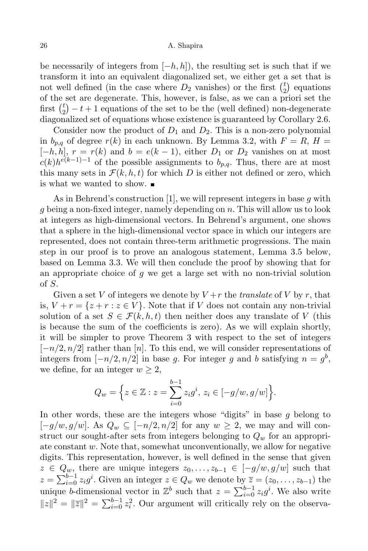be necessarily of integers from  $[-h, h]$ , the resulting set is such that if we transform it into an equivalent diagonalized set, we either get a set that is not well defined (in the case where  $D_2$  vanishes) or the first  $\binom{t}{2}$  $\binom{t}{2}$  equations of the set are degenerate. This, however, is false, as we can a priori set the first  $\binom{t}{2}$  $\binom{t}{2} - t + 1$  equations of the set to be the (well defined) non-degenerate diagonalized set of equations whose existence is guaranteed by Corollary 2.6.

Consider now the product of  $D_1$  and  $D_2$ . This is a non-zero polynomial in  $b_{p,q}$  of degree  $r(k)$  in each unknown. By Lemma 3.2, with  $F = R$ ,  $H =$  $[-h, h], r = r(k)$  and  $b = e(k-1)$ , either  $D_1$  or  $D_2$  vanishes on at most  $c(k)h^{e(k-1)-1}$  of the possible assignments to  $b_{p,q}$ . Thus, there are at most this many sets in  $\mathcal{F}(k, h, t)$  for which D is either not defined or zero, which is what we wanted to show.

As in Behrend's construction [1], we will represent integers in base q with g being a non-fixed integer, namely depending on n. This will allow us to look at integers as high-dimensional vectors. In Behrend's argument, one shows that a sphere in the high-dimensional vector space in which our integers are represented, does not contain three-term arithmetic progressions. The main step in our proof is to prove an analogous statement, Lemma 3.5 below, based on Lemma 3.3. We will then conclude the proof by showing that for an appropriate choice of  $g$  we get a large set with no non-trivial solution of S.

Given a set V of integers we denote by  $V + r$  the translate of V by r, that is,  $V + r = \{z + r : z \in V\}$ . Note that if V does not contain any non-trivial solution of a set  $S \in \mathcal{F}(k, h, t)$  then neither does any translate of V (this is because the sum of the coefficients is zero). As we will explain shortly, it will be simpler to prove Theorem 3 with respect to the set of integers  $[-n/2, n/2]$  rather than [n]. To this end, we will consider representations of integers from  $[-n/2, n/2]$  in base g. For integer g and b satisfying  $n = g<sup>b</sup>$ , we define, for an integer  $w \geq 2$ ,

$$
Q_w = \Big\{ z \in \mathbb{Z} : z = \sum_{i=0}^{b-1} z_i g^i, \, z_i \in [-g/w, g/w] \Big\}.
$$

In other words, these are the integers whose "digits" in base  $g$  belong to  $[-g/w, g/w]$ . As  $Q_w \subseteq [-n/2, n/2]$  for any  $w \geq 2$ , we may and will construct our sought-after sets from integers belonging to  $Q_w$  for an appropriate constant  $w$ . Note that, somewhat unconventionally, we allow for negative digits. This representation, however, is well defined in the sense that given  $z \in Q_w$ , there are unique integers  $z_0, \ldots, z_{b-1} \in [-g/w, g/w]$  such that  $z = \sum_{i=0}^{b-1} z_i g^i$ . Given an integer  $z \in Q_w$  we denote by  $\overline{z} = (z_0, \ldots, z_{b-1})$  the unique b-dimensional vector in  $\mathbb{Z}^b$  such that  $z = \sum_{i=0}^{b-1} z_i g^i$ . We also write  $||z||^2 = ||\overline{z}||^2 = \sum_{i=0}^{b-1} z_i^2$ . Our argument will critically rely on the observa-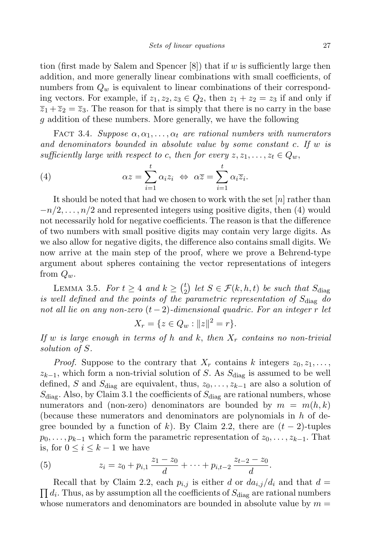tion (first made by Salem and Spencer  $[8]$ ) that if w is sufficiently large then addition, and more generally linear combinations with small coefficients, of numbers from  $Q_w$  is equivalent to linear combinations of their corresponding vectors. For example, if  $z_1, z_2, z_3 \in Q_2$ , then  $z_1 + z_2 = z_3$  if and only if  $\overline{z}_1 + \overline{z}_2 = \overline{z}_3$ . The reason for that is simply that there is no carry in the base g addition of these numbers. More generally, we have the following

FACT 3.4. Suppose  $\alpha, \alpha_1, \ldots, \alpha_t$  are rational numbers with numerators and denominators bounded in absolute value by some constant c. If w is sufficiently large with respect to c, then for every  $z, z_1, \ldots, z_t \in Q_w$ ,

(4) 
$$
\alpha z = \sum_{i=1}^{t} \alpha_i z_i \Leftrightarrow \alpha \overline{z} = \sum_{i=1}^{t} \alpha_i \overline{z}_i.
$$

It should be noted that had we chosen to work with the set  $[n]$  rather than  $-n/2, \ldots, n/2$  and represented integers using positive digits, then (4) would not necessarily hold for negative coefficients. The reason is that the difference of two numbers with small positive digits may contain very large digits. As we also allow for negative digits, the difference also contains small digits. We now arrive at the main step of the proof, where we prove a Behrend-type argument about spheres containing the vector representations of integers from  $Q_w$ .

LEMMA 3.5. For  $t \geq 4$  and  $k \geq \binom{t}{2}$  $\binom{t}{2}$  let  $S \in \mathcal{F}(k, h, t)$  be such that  $S_{\text{diag}}$ is well defined and the points of the parametric representation of  $S_{\text{diag}}$  do not all lie on any non-zero  $(t-2)$ -dimensional quadric. For an integer r let

$$
X_r = \{ z \in Q_w : ||z||^2 = r \}.
$$

If w is large enough in terms of h and k, then  $X_r$  contains no non-trivial solution of S.

*Proof.* Suppose to the contrary that  $X_r$  contains k integers  $z_0, z_1, \ldots$ ,  $z_{k-1}$ , which form a non-trivial solution of S. As  $S_{diag}$  is assumed to be well defined, S and  $S_{\text{diag}}$  are equivalent, thus,  $z_0, \ldots, z_{k-1}$  are also a solution of  $S_{\text{diag}}$ . Also, by Claim 3.1 the coefficients of  $S_{\text{diag}}$  are rational numbers, whose numerators and (non-zero) denominators are bounded by  $m = m(h, k)$ (because these numerators and denominators are polynomials in  $h$  of degree bounded by a function of k). By Claim 2.2, there are  $(t-2)$ -tuples  $p_0, \ldots, p_{k-1}$  which form the parametric representation of  $z_0, \ldots, z_{k-1}$ . That is, for  $0 \leq i \leq k-1$  we have

(5) 
$$
z_i = z_0 + p_{i,1} \frac{z_1 - z_0}{d} + \dots + p_{i,t-2} \frac{z_{t-2} - z_0}{d}.
$$

 $\prod d_i$ . Thus, as by assumption all the coefficients of  $S_{\text{diag}}$  are rational numbers Recall that by Claim 2.2, each  $p_{i,j}$  is either d or  $da_{i,j}/d_i$  and that  $d =$ whose numerators and denominators are bounded in absolute value by  $m =$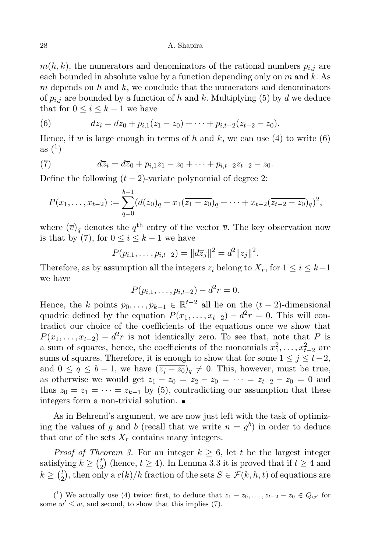$m(h, k)$ , the numerators and denominators of the rational numbers  $p_{i,j}$  are each bounded in absolute value by a function depending only on  $m$  and  $k$ . As  $m$  depends on  $h$  and  $k$ , we conclude that the numerators and denominators of  $p_{i,j}$  are bounded by a function of h and k. Multiplying (5) by d we deduce that for  $0 \leq i \leq k-1$  we have

(6) 
$$
dz_i = dz_0 + p_{i,1}(z_1 - z_0) + \cdots + p_{i,t-2}(z_{t-2} - z_0).
$$

Hence, if w is large enough in terms of h and k, we can use (4) to write (6)  $\mathrm{as}\left( 1\right)$ 

(7) 
$$
d\overline{z}_i = d\overline{z}_0 + p_{i,1}\overline{z_1 - z_0} + \cdots + p_{i,t-2}\overline{z_{t-2} - z_0}.
$$

Define the following  $(t-2)$ -variate polynomial of degree 2:

$$
P(x_1,\ldots,x_{t-2}) := \sum_{q=0}^{b-1} (d(\overline{z}_0)_q + x_1(\overline{z_1-z_0})_q + \cdots + x_{t-2}(\overline{z_{t-2}-z_0})_q)^2,
$$

where  $(\overline{v})_q$  denotes the  $q^{\text{th}}$  entry of the vector  $\overline{v}$ . The key observation now is that by (7), for  $0 \leq i \leq k-1$  we have

$$
P(p_{i,1},\ldots,p_{i,t-2})=\|d\overline{z}_j\|^2=d^2\|z_j\|^2.
$$

Therefore, as by assumption all the integers  $z_i$  belong to  $X_r$ , for  $1 \leq i \leq k-1$ we have

$$
P(p_{i,1},\ldots,p_{i,t-2})-d^2r=0.
$$

Hence, the k points  $p_0, \ldots, p_{k-1} \in \mathbb{R}^{t-2}$  all lie on the  $(t-2)$ -dimensional quadric defined by the equation  $P(x_1, \ldots, x_{t-2}) - d^2 r = 0$ . This will contradict our choice of the coefficients of the equations once we show that  $P(x_1, \ldots, x_{t-2}) - d^2r$  is not identically zero. To see that, note that P is a sum of squares, hence, the coefficients of the monomials  $x_1^2, \ldots, x_{t-2}^2$  are sums of squares. Therefore, it is enough to show that for some  $1 \leq j \leq t-2$ , and  $0 \le q \le b-1$ , we have  $(\overline{z_i-z_0})_q \neq 0$ . This, however, must be true, as otherwise we would get  $z_1 - z_0 = z_2 - z_0 = \cdots = z_{t-2} - z_0 = 0$  and thus  $z_0 = z_1 = \cdots = z_{k-1}$  by (5), contradicting our assumption that these integers form a non-trivial solution.

As in Behrend's argument, we are now just left with the task of optimizing the values of g and b (recall that we write  $n = g<sup>b</sup>$ ) in order to deduce that one of the sets  $X_r$  contains many integers.

*Proof of Theorem 3.* For an integer  $k \geq 6$ , let t be the largest integer satisfying  $k \geq {t \choose 2}$  $_{2}^{t}$  (hence,  $t \geq 4$ ). In Lemma 3.3 it is proved that if  $t \geq 4$  and  $k \geq {t \choose 2}$ <sup>t</sup><sub>2</sub>), then only a  $c(k)/h$  fraction of the sets  $S \in \mathcal{F}(k, h, t)$  of equations are

<sup>(&</sup>lt;sup>1</sup>) We actually use (4) twice: first, to deduce that  $z_1 - z_0, \ldots, z_{t-2} - z_0 \in Q_{w'}$  for some  $w' \leq w$ , and second, to show that this implies (7).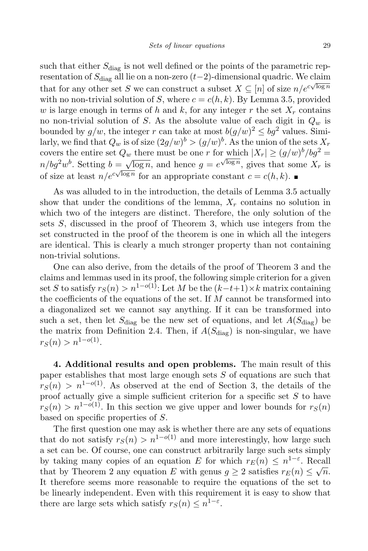such that either  $S_{\text{diag}}$  is not well defined or the points of the parametric representation of  $S_{\text{diag}}$  all lie on a non-zero (t-2)-dimensional quadric. We claim that for any other set S we can construct a subset  $X \subseteq [n]$  of size  $n/e^{c\sqrt{\log n}}$ with no non-trivial solution of S, where  $c = c(h, k)$ . By Lemma 3.5, provided w is large enough in terms of h and k, for any integer r the set  $X_r$  contains no non-trivial solution of S. As the absolute value of each digit in  $Q_w$  is bounded by  $g/w$ , the integer r can take at most  $b(g/w)^2 \leq bg^2$  values. Similarly, we find that  $Q_w$  is of size  $(2g/w)^b > (g/w)^b$ . As the union of the sets  $X_r$ covers the entire set  $Q_w$  there must be one r for which  $|X_r| \ge (g/w)^b / b g^2 =$  $n/bg^2w^b$ . Setting  $b=\sqrt{\log n}$ , and hence  $g=e^{\sqrt{\log n}}$ , gives that some  $X_r$  is of size at least  $n/e^{c\sqrt{\log n}}$  for an appropriate constant  $c = c(h, k)$ .

As was alluded to in the introduction, the details of Lemma 3.5 actually show that under the conditions of the lemma,  $X_r$  contains no solution in which two of the integers are distinct. Therefore, the only solution of the sets S, discussed in the proof of Theorem 3, which use integers from the set constructed in the proof of the theorem is one in which all the integers are identical. This is clearly a much stronger property than not containing non-trivial solutions.

One can also derive, from the details of the proof of Theorem 3 and the claims and lemmas used in its proof, the following simple criterion for a given set S to satisfy  $r_S(n) > n^{1-o(1)}$ : Let M be the  $(k-t+1) \times k$  matrix containing the coefficients of the equations of the set. If  $M$  cannot be transformed into a diagonalized set we cannot say anything. If it can be transformed into such a set, then let  $S_{\text{diag}}$  be the new set of equations, and let  $A(S_{\text{diag}})$  be the matrix from Definition 2.4. Then, if  $A(S_{\text{diag}})$  is non-singular, we have  $r_S(n) > n^{1-o(1)}$ .

4. Additional results and open problems. The main result of this paper establishes that most large enough sets S of equations are such that  $r<sub>S</sub>(n) > n<sup>1-o(1)</sup>$ . As observed at the end of Section 3, the details of the proof actually give a simple sufficient criterion for a specific set  $S$  to have  $r_S(n) > n^{1-o(1)}$ . In this section we give upper and lower bounds for  $r_S(n)$ based on specific properties of S.

The first question one may ask is whether there are any sets of equations that do not satisfy  $r_S(n) > n^{1-o(1)}$  and more interestingly, how large such a set can be. Of course, one can construct arbitrarily large such sets simply by taking many copies of an equation E for which  $r_E(n) \leq n^{1-\varepsilon}$ . Recall that by Theorem 2 any equation E with genus  $g \geq 2$  satisfies  $r_E(n) \leq \sqrt{n}$ . It therefore seems more reasonable to require the equations of the set to be linearly independent. Even with this requirement it is easy to show that there are large sets which satisfy  $r_S(n) \leq n^{1-\varepsilon}$ .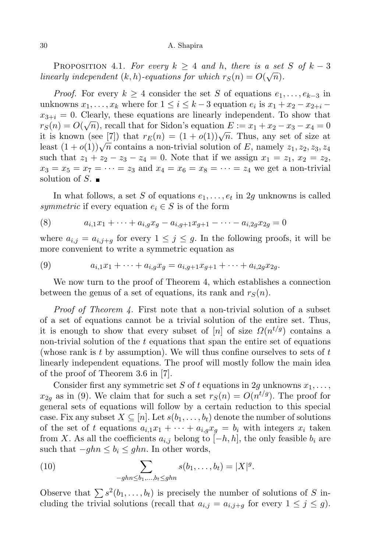PROPOSITION 4.1. For every  $k \geq 4$  and h, there is a set S of  $k-3$ linearly independent  $(k, h)$ -equations for which  $r_S(n) = O(\sqrt{n}).$ 

*Proof.* For every  $k \geq 4$  consider the set S of equations  $e_1, \ldots, e_{k-3}$  in unknowns  $x_1, \ldots, x_k$  where for  $1 \leq i \leq k-3$  equation  $e_i$  is  $x_1 + x_2 - x_{2+i}$  $x_{3+i} = 0$ . Clearly, these equations are linearly independent. To show that  $r_S(n) = O(\sqrt{n})$ , recall that for Sidon's equation  $E := x_1 + x_2 - x_3 - x_4 = 0$ it is known (see [7]) that  $r_E(n) = (1 + o(1))\sqrt{n}$ . Thus, any set of size at least  $(1+o(1))\sqrt{n}$  contains a non-trivial solution of E, namely  $z_1, z_2, z_3, z_4$ such that  $z_1 + z_2 - z_3 - z_4 = 0$ . Note that if we assign  $x_1 = z_1, x_2 = z_2$ ,  $x_3 = x_5 = x_7 = \cdots = z_3$  and  $x_4 = x_6 = x_8 = \cdots = z_4$  we get a non-trivial solution of  $S$ .

In what follows, a set S of equations  $e_1, \ldots, e_t$  in 2g unknowns is called symmetric if every equation  $e_i \in S$  is of the form

(8) 
$$
a_{i,1}x_1 + \cdots + a_{i,g}x_g - a_{i,g+1}x_{g+1} - \cdots - a_{i,2g}x_{2g} = 0
$$

where  $a_{i,j} = a_{i,j+q}$  for every  $1 \leq j \leq g$ . In the following proofs, it will be more convenient to write a symmetric equation as

(9) 
$$
a_{i,1}x_1 + \cdots + a_{i,g}x_g = a_{i,g+1}x_{g+1} + \cdots + a_{i,2g}x_{2g}.
$$

We now turn to the proof of Theorem 4, which establishes a connection between the genus of a set of equations, its rank and  $r<sub>S</sub>(n)$ .

Proof of Theorem 4. First note that a non-trivial solution of a subset of a set of equations cannot be a trivial solution of the entire set. Thus, it is enough to show that every subset of [n] of size  $\Omega(n^{t/g})$  contains a non-trivial solution of the  $t$  equations that span the entire set of equations (whose rank is  $t$  by assumption). We will thus confine ourselves to sets of  $t$ linearly independent equations. The proof will mostly follow the main idea of the proof of Theorem 3.6 in [7].

Consider first any symmetric set S of t equations in 2g unknowns  $x_1, \ldots,$  $x_{2g}$  as in (9). We claim that for such a set  $r_S(n) = O(n^{t/g})$ . The proof for general sets of equations will follow by a certain reduction to this special case. Fix any subset  $X \subseteq [n]$ . Let  $s(b_1, \ldots, b_t)$  denote the number of solutions of the set of t equations  $a_{i,1}x_1 + \cdots + a_{i,q}x_q = b_i$  with integers  $x_i$  taken from X. As all the coefficients  $a_{i,j}$  belong to  $[-h, h]$ , the only feasible  $b_i$  are such that  $-ghn \leq b_i \leq ghn$ . In other words,

(10) 
$$
\sum_{-ghn \le b_1, ..., b_t \le ghn} s(b_1, ..., b_t) = |X|^g.
$$

Observe that  $\sum s^2(b_1, \ldots, b_t)$  is precisely the number of solutions of S including the trivial solutions (recall that  $a_{i,j} = a_{i,j+g}$  for every  $1 \leq j \leq g$ ).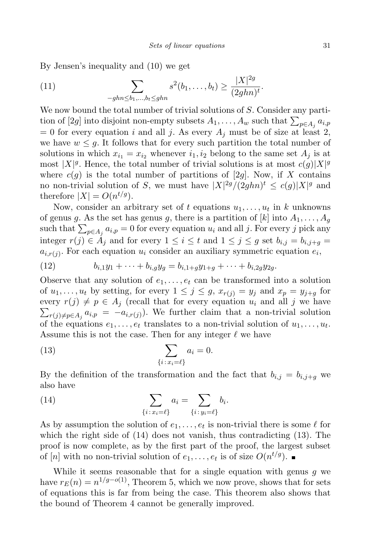$\overline{2}$ 

By Jensen's inequality and (10) we get

(11) 
$$
\sum_{-ghn \leq b_1,\dots,b_t \leq ghn} s^2(b_1,\dots,b_t) \geq \frac{|X|^{2g}}{(2ghn)^t}.
$$

We now bound the total number of trivial solutions of S. Consider any partition of [2g] into disjoint non-empty subsets  $A_1, \ldots, A_w$  such that  $\sum_{p \in A_j} a_{i,p}$  $= 0$  for every equation i and all j. As every  $A_i$  must be of size at least 2, we have  $w \leq q$ . It follows that for every such partition the total number of solutions in which  $x_{i_1} = x_{i_2}$  whenever  $i_1, i_2$  belong to the same set  $A_i$  is at most  $|X|^g$ . Hence, the total number of trivial solutions is at most  $c(g)|X|^g$ where  $c(g)$  is the total number of partitions of [2g]. Now, if X contains no non-trivial solution of S, we must have  $|X|^{2g}/(2ghn)^t \leq c(g)|X|^g$  and therefore  $|X| = O(n^{t/g})$ .

Now, consider an arbitrary set of t equations  $u_1, \ldots, u_t$  in k unknowns of genus g. As the set has genus g, there is a partition of  $[k]$  into  $A_1, \ldots, A_q$ such that  $\sum_{p \in A_j} a_{i,p} = 0$  for every equation  $u_i$  and all j. For every j pick any integer  $r(j) \in \mathring{A}_j$  and for every  $1 \leq i \leq t$  and  $1 \leq j \leq g$  set  $b_{i,j} = b_{i,j+q}$  $a_{i,r(j)}$ . For each equation  $u_i$  consider an auxiliary symmetric equation  $e_i$ ,

(12) 
$$
b_{i,1}y_1 + \cdots + b_{i,g}y_g = b_{i,1+g}y_{1+g} + \cdots + b_{i,2g}y_{2g}.
$$

Observe that any solution of  $e_1, \ldots, e_t$  can be transformed into a solution of  $u_1, \ldots, u_t$  by setting, for every  $1 \leq j \leq g$ ,  $x_{r(j)} = y_j$  and  $x_p = y_{j+g}$  for every  $r(j) \neq p \in A_j$  (recall that for every equation  $u_i$  and all j we have  $\sum_{r(j)\neq p\in A_j} a_{i,p} = -a_{i,r(j)}$ . We further claim that a non-trivial solution of the equations  $e_1, \ldots, e_t$  translates to a non-trivial solution of  $u_1, \ldots, u_t$ . Assume this is not the case. Then for any integer  $\ell$  we have

(13) 
$$
\sum_{\{i \, : \, x_i = \ell\}} a_i = 0.
$$

By the definition of the transformation and the fact that  $b_{i,j} = b_{i,j+q}$  we also have

(14) 
$$
\sum_{\{i \,:\, x_i = \ell\}} a_i = \sum_{\{i \,:\, y_i = \ell\}} b_i.
$$

As by assumption the solution of  $e_1, \ldots, e_t$  is non-trivial there is some  $\ell$  for which the right side of (14) does not vanish, thus contradicting (13). The proof is now complete, as by the first part of the proof, the largest subset of [n] with no non-trivial solution of  $e_1, \ldots, e_t$  is of size  $O(n^{t/g})$ .

While it seems reasonable that for a single equation with genus  $g$  we have  $r_E(n) = n^{1/g - o(1)}$ , Theorem 5, which we now prove, shows that for sets of equations this is far from being the case. This theorem also shows that the bound of Theorem 4 cannot be generally improved.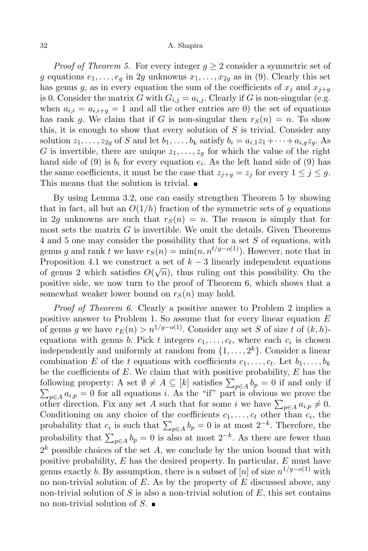*Proof of Theorem 5.* For every integer  $q > 2$  consider a symmetric set of g equations  $e_1, \ldots, e_q$  in 2g unknowns  $x_1, \ldots, x_{2q}$  as in (9). Clearly this set has genus g, as in every equation the sum of the coefficients of  $x_j$  and  $x_{j+q}$ is 0. Consider the matrix G with  $G_{i,j} = a_{i,j}$ . Clearly if G is non-singular (e.g. when  $a_{i,i} = a_{i,i+g} = 1$  and all the other entries are 0) the set of equations has rank g. We claim that if G is non-singular then  $r<sub>S</sub>(n) = n$ . To show this, it is enough to show that every solution of  $S$  is trivial. Consider any solution  $z_1, \ldots, z_{2g}$  of S and let  $b_1, \ldots, b_k$  satisfy  $b_i = a_{i,1}z_1 + \cdots + a_{i,g}z_g$ . As G is invertible, there are unique  $z_1, \ldots, z_q$  for which the value of the right hand side of (9) is  $b_i$  for every equation  $e_i$ . As the left hand side of (9) has the same coefficients, it must be the case that  $z_{i+q} = z_i$  for every  $1 \leq j \leq q$ . This means that the solution is trivial.

By using Lemma 3.2, one can easily strengthen Theorem 5 by showing that in fact, all but an  $O(1/h)$  fraction of the symmetric sets of g equations in 2q unknowns are such that  $r_S(n) = n$ . The reason is simply that for most sets the matrix  $G$  is invertible. We omit the details. Given Theorems 4 and 5 one may consider the possibility that for a set S of equations, with genus g and rank t we have  $r_S(n) = \min(n, n^{t/g-o(1)})$ . However, note that in Proposition 4.1 we construct a set of  $k-3$  linearly independent equations of genus 2 which satisfies  $O(\sqrt{n})$ , thus ruling out this possibility. On the positive side, we now turn to the proof of Theorem 6, which shows that a somewhat weaker lower bound on  $r<sub>S</sub>(n)$  may hold.

Proof of Theorem 6. Clearly a positive answer to Problem 2 implies a positive answer to Problem 1. So assume that for every linear equation  $E$ of genus g we have  $r_E(n) > n^{1/g-o(1)}$ . Consider any set S of size t of  $(k, h)$ equations with genus *b*. Pick *t* integers  $c_1, \ldots, c_t$ , where each  $c_i$  is chosen independently and uniformly at random from  $\{1, \ldots, 2^k\}$ . Consider a linear combination E of the t equations with coefficients  $c_1, \ldots, c_t$ . Let  $b_1, \ldots, b_k$ be the coefficients of  $E$ . We claim that with positive probability,  $E$  has the following property: A set  $\emptyset \neq A \subseteq [k]$  satisfies  $\sum_{p \in A} b_p = 0$  if and only if  $\sum_{p\in A} a_{i,p} = 0$  for all equations i. As the "if" part is obvious we prove the other direction. Fix any set A such that for some i we have  $\sum_{p \in A} a_{i,p} \neq 0$ . Conditioning on any choice of the coefficients  $c_1, \ldots, c_t$  other than  $c_i$ , the probability that  $c_i$  is such that  $\sum_{p\in A} b_p = 0$  is at most  $2^{-k}$ . Therefore, the probability that  $\sum_{p\in A} b_p = 0$  is also at most  $2^{-k}$ . As there are fewer than  $2<sup>k</sup>$  possible choices of the set A, we conclude by the union bound that with positive probability,  $E$  has the desired property. In particular,  $E$  must have genus exactly b. By assumption, there is a subset of  $[n]$  of size  $n^{1/g-o(1)}$  with no non-trivial solution of  $E$ . As by the property of  $E$  discussed above, any non-trivial solution of S is also a non-trivial solution of  $E$ , this set contains no non-trivial solution of  $S$ .